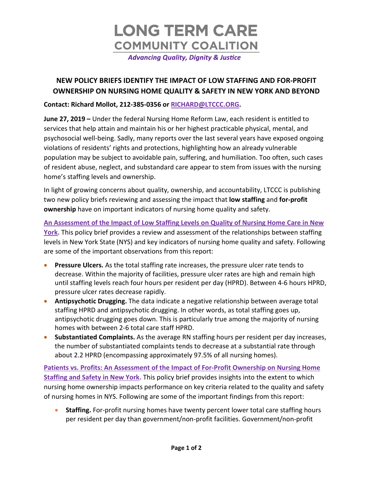

## **NEW POLICY BRIEFS IDENTIFY THE IMPACT OF LOW STAFFING AND FOR-PROFIT OWNERSHIP ON NURSING HOME QUALITY & SAFETY IN NEW YORK AND BEYOND**

#### **Contact: Richard Mollot, 212-385-0356 or [RICHARD@LTCCC.ORG.](mailto:RICHARD@LTCCC.ORG)**

**June 27, 2019 –** Under the federal Nursing Home Reform Law, each resident is entitled to services that help attain and maintain his or her highest practicable physical, mental, and psychosocial well-being. Sadly, many reports over the last several years have exposed ongoing violations of residents' rights and protections, highlighting how an already vulnerable population may be subject to avoidable pain, suffering, and humiliation. Too often, such cases of resident abuse, neglect, and substandard care appear to stem from issues with the nursing home's staffing levels and ownership.

In light of growing concerns about quality, ownership, and accountability, LTCCC is publishing two new policy briefs reviewing and assessing the impact that **low staffing** and **for-profit ownership** have on important indicators of nursing home quality and safety.

**[An Assessment of the Impact of Low Staffing Levels on Quality of Nursing Home Care in New](https://nursinghome411.org/nys-nursing-homes-2019/)**  [York.](https://nursinghome411.org/nys-nursing-homes-2019/) This policy brief provides a review and assessment of the relationships between staffing levels in New York State (NYS) and key indicators of nursing home quality and safety. Following are some of the important observations from this report:

- **Pressure Ulcers.** As the total staffing rate increases, the pressure ulcer rate tends to decrease. Within the majority of facilities, pressure ulcer rates are high and remain high until staffing levels reach four hours per resident per day (HPRD). Between 4-6 hours HPRD, pressure ulcer rates decrease rapidly.
- **Antipsychotic Drugging.** The data indicate a negative relationship between average total staffing HPRD and antipsychotic drugging. In other words, as total staffing goes up, antipsychotic drugging goes down. This is particularly true among the majority of nursing homes with between 2-6 total care staff HPRD.
- **Substantiated Complaints.** As the average RN staffing hours per resident per day increases, the number of substantiated complaints tends to decrease at a substantial rate through about 2.2 HPRD (encompassing approximately 97.5% of all nursing homes).

**[Patients vs. Profits: An Assessment of the Impact of For-Profit Ownership on Nursing Home](https://nursinghome411.org/nys-nursing-homes-2019/)  [Staffing and Safety in New York.](https://nursinghome411.org/nys-nursing-homes-2019/)** This policy brief provides insights into the extent to which nursing home ownership impacts performance on key criteria related to the quality and safety of nursing homes in NYS. Following are some of the important findings from this report:

• **Staffing.** For-profit nursing homes have twenty percent lower total care staffing hours per resident per day than government/non-profit facilities. Government/non-profit